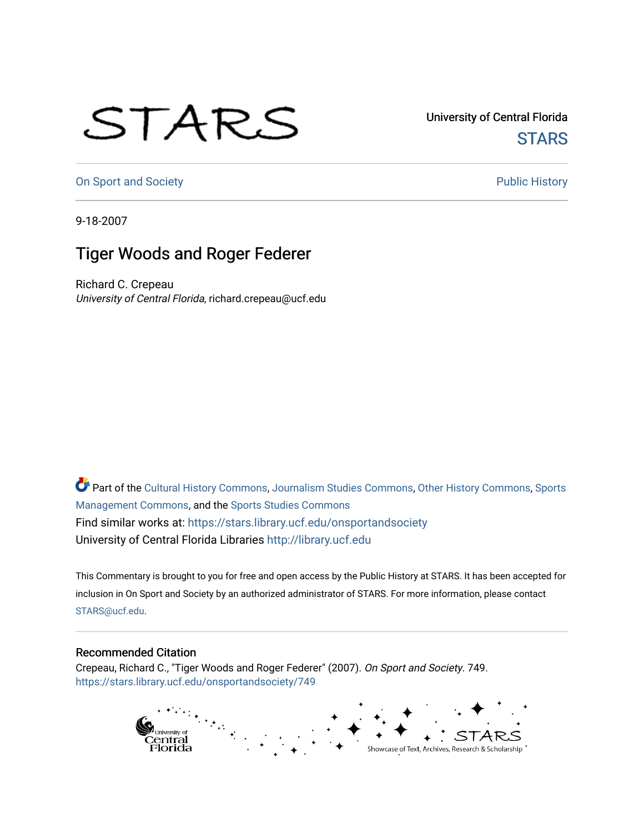## STARS

University of Central Florida **STARS** 

[On Sport and Society](https://stars.library.ucf.edu/onsportandsociety) **Public History** Public History

9-18-2007

## Tiger Woods and Roger Federer

Richard C. Crepeau University of Central Florida, richard.crepeau@ucf.edu

Part of the [Cultural History Commons](http://network.bepress.com/hgg/discipline/496?utm_source=stars.library.ucf.edu%2Fonsportandsociety%2F749&utm_medium=PDF&utm_campaign=PDFCoverPages), [Journalism Studies Commons,](http://network.bepress.com/hgg/discipline/333?utm_source=stars.library.ucf.edu%2Fonsportandsociety%2F749&utm_medium=PDF&utm_campaign=PDFCoverPages) [Other History Commons,](http://network.bepress.com/hgg/discipline/508?utm_source=stars.library.ucf.edu%2Fonsportandsociety%2F749&utm_medium=PDF&utm_campaign=PDFCoverPages) [Sports](http://network.bepress.com/hgg/discipline/1193?utm_source=stars.library.ucf.edu%2Fonsportandsociety%2F749&utm_medium=PDF&utm_campaign=PDFCoverPages) [Management Commons](http://network.bepress.com/hgg/discipline/1193?utm_source=stars.library.ucf.edu%2Fonsportandsociety%2F749&utm_medium=PDF&utm_campaign=PDFCoverPages), and the [Sports Studies Commons](http://network.bepress.com/hgg/discipline/1198?utm_source=stars.library.ucf.edu%2Fonsportandsociety%2F749&utm_medium=PDF&utm_campaign=PDFCoverPages) Find similar works at: <https://stars.library.ucf.edu/onsportandsociety> University of Central Florida Libraries [http://library.ucf.edu](http://library.ucf.edu/) 

This Commentary is brought to you for free and open access by the Public History at STARS. It has been accepted for inclusion in On Sport and Society by an authorized administrator of STARS. For more information, please contact [STARS@ucf.edu](mailto:STARS@ucf.edu).

## Recommended Citation

Crepeau, Richard C., "Tiger Woods and Roger Federer" (2007). On Sport and Society. 749. [https://stars.library.ucf.edu/onsportandsociety/749](https://stars.library.ucf.edu/onsportandsociety/749?utm_source=stars.library.ucf.edu%2Fonsportandsociety%2F749&utm_medium=PDF&utm_campaign=PDFCoverPages)

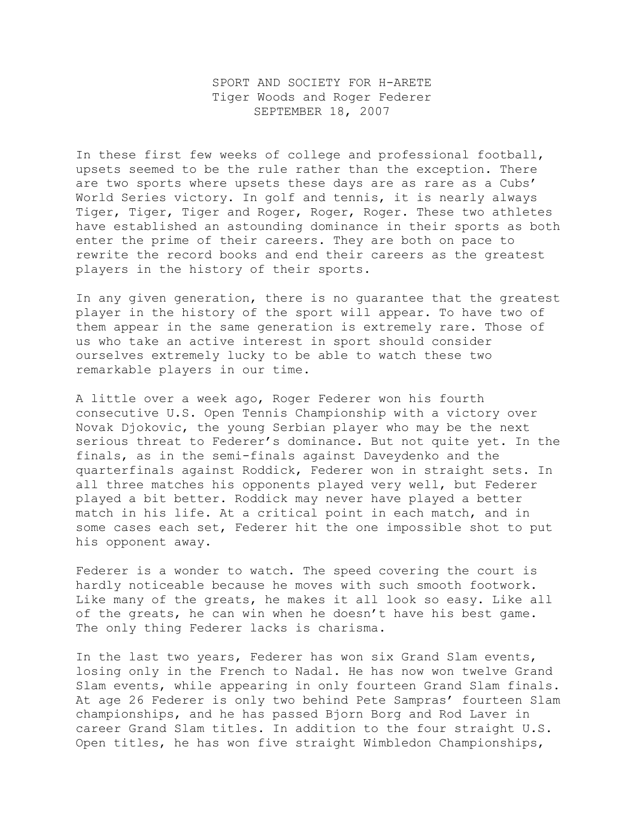SPORT AND SOCIETY FOR H-ARETE Tiger Woods and Roger Federer SEPTEMBER 18, 2007

In these first few weeks of college and professional football, upsets seemed to be the rule rather than the exception. There are two sports where upsets these days are as rare as a Cubs' World Series victory. In golf and tennis, it is nearly always Tiger, Tiger, Tiger and Roger, Roger, Roger. These two athletes have established an astounding dominance in their sports as both enter the prime of their careers. They are both on pace to rewrite the record books and end their careers as the greatest players in the history of their sports.

In any given generation, there is no guarantee that the greatest player in the history of the sport will appear. To have two of them appear in the same generation is extremely rare. Those of us who take an active interest in sport should consider ourselves extremely lucky to be able to watch these two remarkable players in our time.

A little over a week ago, Roger Federer won his fourth consecutive U.S. Open Tennis Championship with a victory over Novak Djokovic, the young Serbian player who may be the next serious threat to Federer's dominance. But not quite yet. In the finals, as in the semi-finals against Daveydenko and the quarterfinals against Roddick, Federer won in straight sets. In all three matches his opponents played very well, but Federer played a bit better. Roddick may never have played a better match in his life. At a critical point in each match, and in some cases each set, Federer hit the one impossible shot to put his opponent away.

Federer is a wonder to watch. The speed covering the court is hardly noticeable because he moves with such smooth footwork. Like many of the greats, he makes it all look so easy. Like all of the greats, he can win when he doesn't have his best game. The only thing Federer lacks is charisma.

In the last two years, Federer has won six Grand Slam events, losing only in the French to Nadal. He has now won twelve Grand Slam events, while appearing in only fourteen Grand Slam finals. At age 26 Federer is only two behind Pete Sampras' fourteen Slam championships, and he has passed Bjorn Borg and Rod Laver in career Grand Slam titles. In addition to the four straight U.S. Open titles, he has won five straight Wimbledon Championships,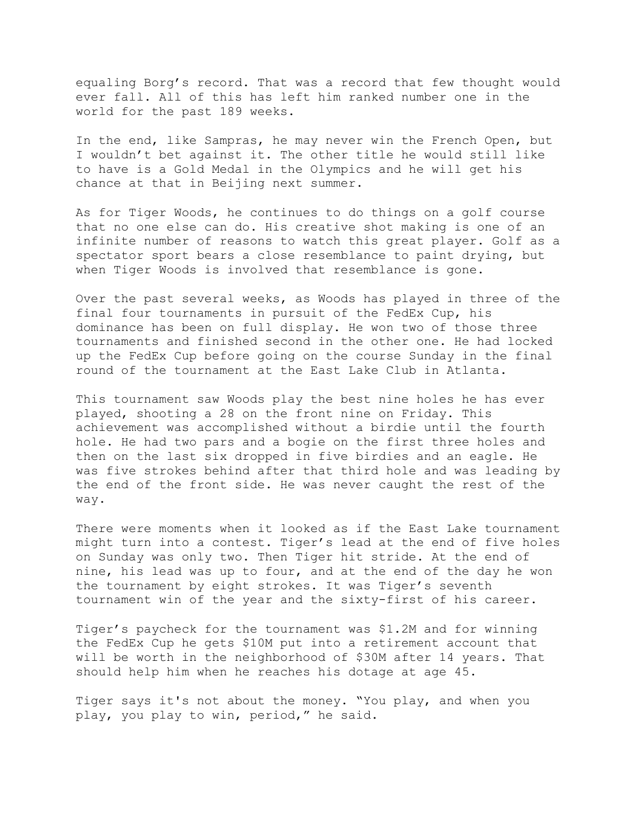equaling Borg's record. That was a record that few thought would ever fall. All of this has left him ranked number one in the world for the past 189 weeks.

In the end, like Sampras, he may never win the French Open, but I wouldn't bet against it. The other title he would still like to have is a Gold Medal in the Olympics and he will get his chance at that in Beijing next summer.

As for Tiger Woods, he continues to do things on a golf course that no one else can do. His creative shot making is one of an infinite number of reasons to watch this great player. Golf as a spectator sport bears a close resemblance to paint drying, but when Tiger Woods is involved that resemblance is gone.

Over the past several weeks, as Woods has played in three of the final four tournaments in pursuit of the FedEx Cup, his dominance has been on full display. He won two of those three tournaments and finished second in the other one. He had locked up the FedEx Cup before going on the course Sunday in the final round of the tournament at the East Lake Club in Atlanta.

This tournament saw Woods play the best nine holes he has ever played, shooting a 28 on the front nine on Friday. This achievement was accomplished without a birdie until the fourth hole. He had two pars and a bogie on the first three holes and then on the last six dropped in five birdies and an eagle. He was five strokes behind after that third hole and was leading by the end of the front side. He was never caught the rest of the way.

There were moments when it looked as if the East Lake tournament might turn into a contest. Tiger's lead at the end of five holes on Sunday was only two. Then Tiger hit stride. At the end of nine, his lead was up to four, and at the end of the day he won the tournament by eight strokes. It was Tiger's seventh tournament win of the year and the sixty-first of his career.

Tiger's paycheck for the tournament was \$1.2M and for winning the FedEx Cup he gets \$10M put into a retirement account that will be worth in the neighborhood of \$30M after 14 years. That should help him when he reaches his dotage at age 45.

Tiger says it's not about the money. "You play, and when you play, you play to win, period," he said.